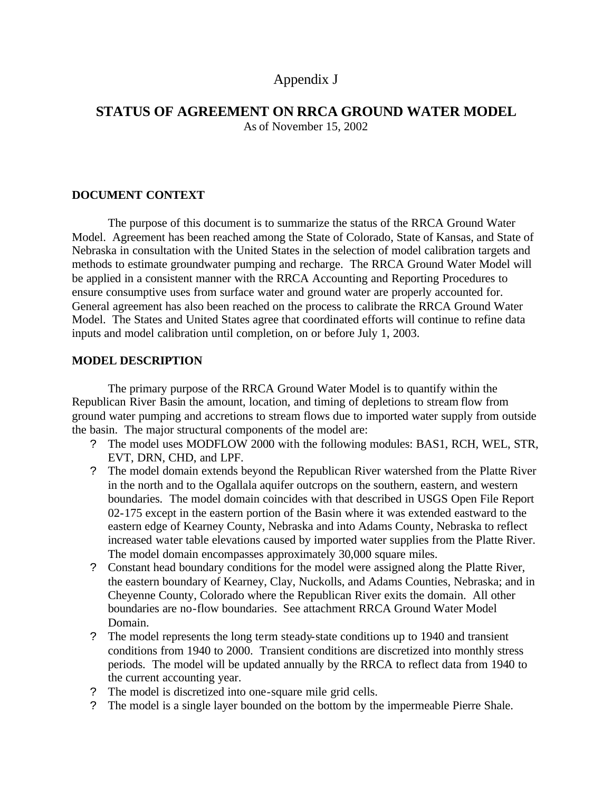# Appendix J

# **STATUS OF AGREEMENT ON RRCA GROUND WATER MODEL**

As of November 15, 2002

# **DOCUMENT CONTEXT**

The purpose of this document is to summarize the status of the RRCA Ground Water Model. Agreement has been reached among the State of Colorado, State of Kansas, and State of Nebraska in consultation with the United States in the selection of model calibration targets and methods to estimate groundwater pumping and recharge. The RRCA Ground Water Model will be applied in a consistent manner with the RRCA Accounting and Reporting Procedures to ensure consumptive uses from surface water and ground water are properly accounted for. General agreement has also been reached on the process to calibrate the RRCA Ground Water Model. The States and United States agree that coordinated efforts will continue to refine data inputs and model calibration until completion, on or before July 1, 2003.

# **MODEL DESCRIPTION**

The primary purpose of the RRCA Ground Water Model is to quantify within the Republican River Basin the amount, location, and timing of depletions to stream flow from ground water pumping and accretions to stream flows due to imported water supply from outside the basin. The major structural components of the model are:

- ? The model uses MODFLOW 2000 with the following modules: BAS1, RCH, WEL, STR, EVT, DRN, CHD, and LPF.
- ? The model domain extends beyond the Republican River watershed from the Platte River in the north and to the Ogallala aquifer outcrops on the southern, eastern, and western boundaries. The model domain coincides with that described in USGS Open File Report 02-175 except in the eastern portion of the Basin where it was extended eastward to the eastern edge of Kearney County, Nebraska and into Adams County, Nebraska to reflect increased water table elevations caused by imported water supplies from the Platte River. The model domain encompasses approximately 30,000 square miles.
- ? Constant head boundary conditions for the model were assigned along the Platte River, the eastern boundary of Kearney, Clay, Nuckolls, and Adams Counties, Nebraska; and in Cheyenne County, Colorado where the Republican River exits the domain. All other boundaries are no-flow boundaries. See attachment RRCA Ground Water Model Domain.
- ? The model represents the long term steady-state conditions up to 1940 and transient conditions from 1940 to 2000. Transient conditions are discretized into monthly stress periods. The model will be updated annually by the RRCA to reflect data from 1940 to the current accounting year.
- ? The model is discretized into one-square mile grid cells.
- ? The model is a single layer bounded on the bottom by the impermeable Pierre Shale.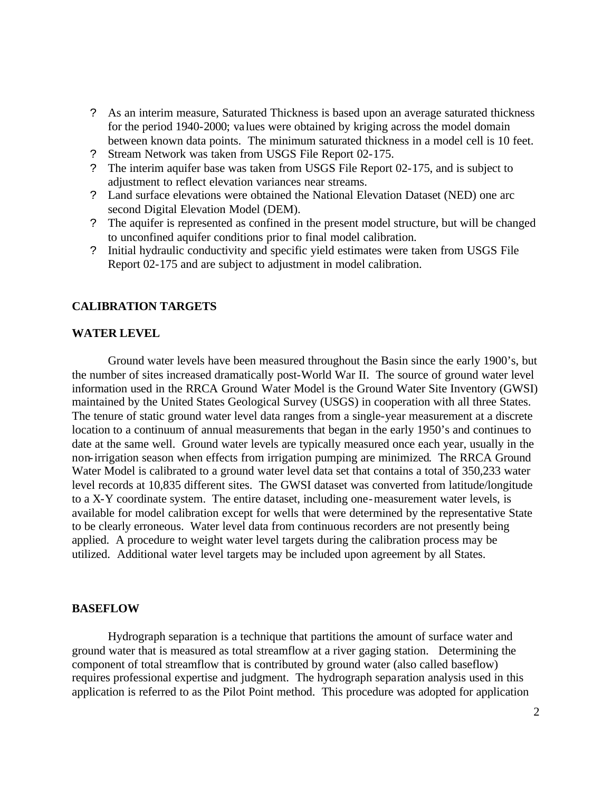- ? As an interim measure, Saturated Thickness is based upon an average saturated thickness for the period 1940-2000; values were obtained by kriging across the model domain between known data points. The minimum saturated thickness in a model cell is 10 feet.
- ? Stream Network was taken from USGS File Report 02-175.
- ? The interim aquifer base was taken from USGS File Report 02-175, and is subject to adjustment to reflect elevation variances near streams.
- ? Land surface elevations were obtained the National Elevation Dataset (NED) one arc second Digital Elevation Model (DEM).
- ? The aquifer is represented as confined in the present model structure, but will be changed to unconfined aquifer conditions prior to final model calibration.
- ? Initial hydraulic conductivity and specific yield estimates were taken from USGS File Report 02-175 and are subject to adjustment in model calibration.

#### **CALIBRATION TARGETS**

#### **WATER LEVEL**

Ground water levels have been measured throughout the Basin since the early 1900's, but the number of sites increased dramatically post-World War II. The source of ground water level information used in the RRCA Ground Water Model is the Ground Water Site Inventory (GWSI) maintained by the United States Geological Survey (USGS) in cooperation with all three States. The tenure of static ground water level data ranges from a single-year measurement at a discrete location to a continuum of annual measurements that began in the early 1950's and continues to date at the same well. Ground water levels are typically measured once each year, usually in the non-irrigation season when effects from irrigation pumping are minimized. The RRCA Ground Water Model is calibrated to a ground water level data set that contains a total of 350,233 water level records at 10,835 different sites. The GWSI dataset was converted from latitude/longitude to a X-Y coordinate system. The entire dataset, including one-measurement water levels, is available for model calibration except for wells that were determined by the representative State to be clearly erroneous. Water level data from continuous recorders are not presently being applied. A procedure to weight water level targets during the calibration process may be utilized. Additional water level targets may be included upon agreement by all States.

### **BASEFLOW**

Hydrograph separation is a technique that partitions the amount of surface water and ground water that is measured as total streamflow at a river gaging station. Determining the component of total streamflow that is contributed by ground water (also called baseflow) requires professional expertise and judgment. The hydrograph separation analysis used in this application is referred to as the Pilot Point method. This procedure was adopted for application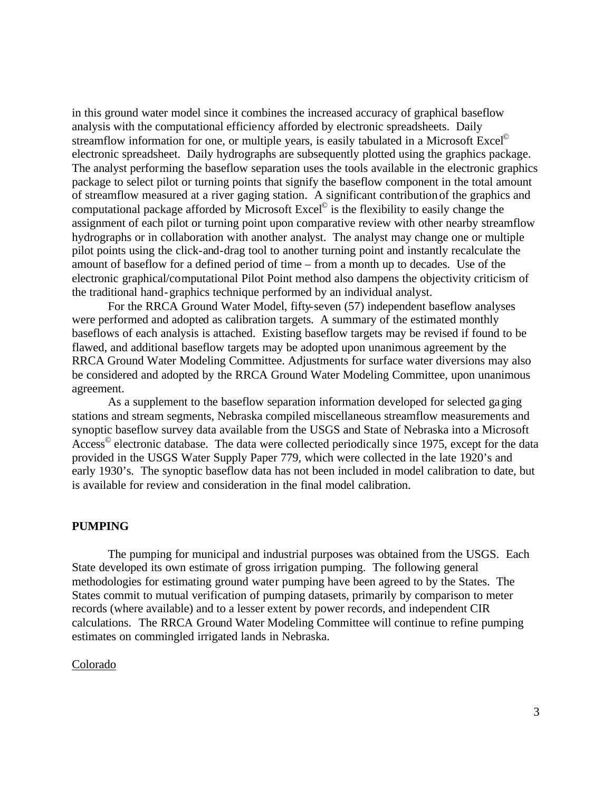in this ground water model since it combines the increased accuracy of graphical baseflow analysis with the computational efficiency afforded by electronic spreadsheets. Daily streamflow information for one, or multiple years, is easily tabulated in a Microsoft Excel<sup>©</sup> electronic spreadsheet. Daily hydrographs are subsequently plotted using the graphics package. The analyst performing the baseflow separation uses the tools available in the electronic graphics package to select pilot or turning points that signify the baseflow component in the total amount of streamflow measured at a river gaging station. A significant contribution of the graphics and computational package afforded by Microsoft Excel<sup>®</sup> is the flexibility to easily change the assignment of each pilot or turning point upon comparative review with other nearby streamflow hydrographs or in collaboration with another analyst. The analyst may change one or multiple pilot points using the click-and-drag tool to another turning point and instantly recalculate the amount of baseflow for a defined period of time – from a month up to decades. Use of the electronic graphical/computational Pilot Point method also dampens the objectivity criticism of the traditional hand-graphics technique performed by an individual analyst.

For the RRCA Ground Water Model, fifty-seven (57) independent baseflow analyses were performed and adopted as calibration targets. A summary of the estimated monthly baseflows of each analysis is attached. Existing baseflow targets may be revised if found to be flawed, and additional baseflow targets may be adopted upon unanimous agreement by the RRCA Ground Water Modeling Committee. Adjustments for surface water diversions may also be considered and adopted by the RRCA Ground Water Modeling Committee, upon unanimous agreement.

As a supplement to the baseflow separation information developed for selected gaging stations and stream segments, Nebraska compiled miscellaneous streamflow measurements and synoptic baseflow survey data available from the USGS and State of Nebraska into a Microsoft Access<sup>©</sup> electronic database. The data were collected periodically since 1975, except for the data provided in the USGS Water Supply Paper 779, which were collected in the late 1920's and early 1930's. The synoptic baseflow data has not been included in model calibration to date, but is available for review and consideration in the final model calibration.

### **PUMPING**

The pumping for municipal and industrial purposes was obtained from the USGS. Each State developed its own estimate of gross irrigation pumping. The following general methodologies for estimating ground water pumping have been agreed to by the States. The States commit to mutual verification of pumping datasets, primarily by comparison to meter records (where available) and to a lesser extent by power records, and independent CIR calculations. The RRCA Ground Water Modeling Committee will continue to refine pumping estimates on commingled irrigated lands in Nebraska.

# Colorado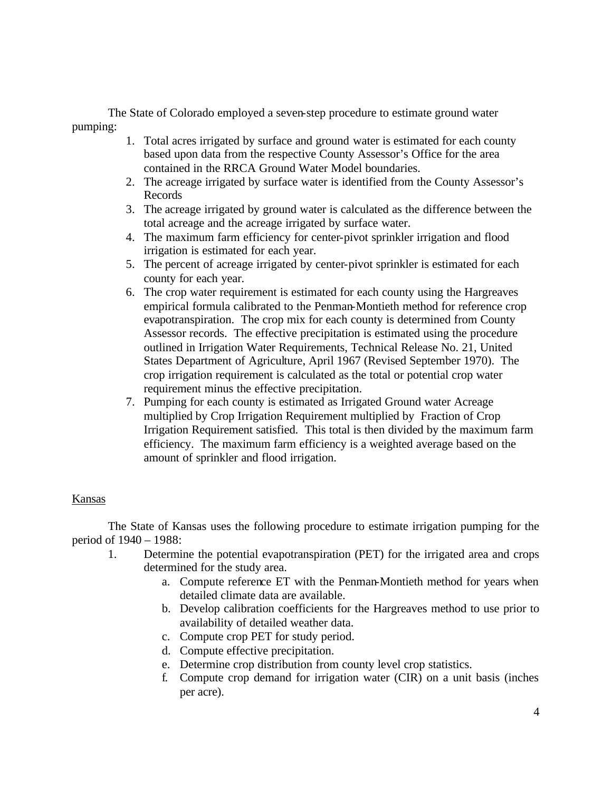The State of Colorado employed a seven-step procedure to estimate ground water pumping:

- 1. Total acres irrigated by surface and ground water is estimated for each county based upon data from the respective County Assessor's Office for the area contained in the RRCA Ground Water Model boundaries.
- 2. The acreage irrigated by surface water is identified from the County Assessor's Records
- 3. The acreage irrigated by ground water is calculated as the difference between the total acreage and the acreage irrigated by surface water.
- 4. The maximum farm efficiency for center-pivot sprinkler irrigation and flood irrigation is estimated for each year.
- 5. The percent of acreage irrigated by center-pivot sprinkler is estimated for each county for each year.
- 6. The crop water requirement is estimated for each county using the Hargreaves empirical formula calibrated to the Penman-Montieth method for reference crop evapotranspiration. The crop mix for each county is determined from County Assessor records. The effective precipitation is estimated using the procedure outlined in Irrigation Water Requirements, Technical Release No. 21, United States Department of Agriculture, April 1967 (Revised September 1970). The crop irrigation requirement is calculated as the total or potential crop water requirement minus the effective precipitation.
- 7. Pumping for each county is estimated as Irrigated Ground water Acreage multiplied by Crop Irrigation Requirement multiplied by Fraction of Crop Irrigation Requirement satisfied. This total is then divided by the maximum farm efficiency. The maximum farm efficiency is a weighted average based on the amount of sprinkler and flood irrigation.

# Kansas

The State of Kansas uses the following procedure to estimate irrigation pumping for the period of 1940 – 1988:

- 1. Determine the potential evapotranspiration (PET) for the irrigated area and crops determined for the study area.
	- a. Compute reference ET with the Penman-Montieth method for years when detailed climate data are available.
	- b. Develop calibration coefficients for the Hargreaves method to use prior to availability of detailed weather data.
	- c. Compute crop PET for study period.
	- d. Compute effective precipitation.
	- e. Determine crop distribution from county level crop statistics.
	- f. Compute crop demand for irrigation water (CIR) on a unit basis (inches per acre).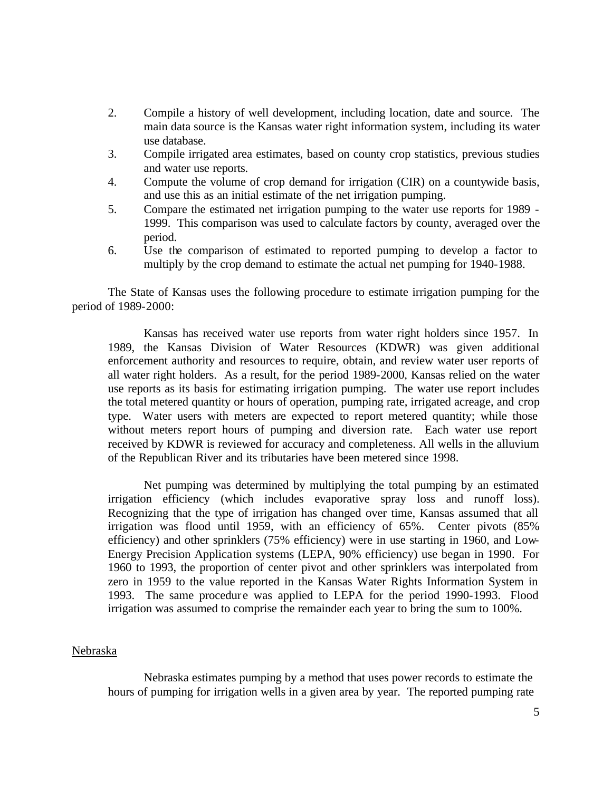- 2. Compile a history of well development, including location, date and source. The main data source is the Kansas water right information system, including its water use database.
- 3. Compile irrigated area estimates, based on county crop statistics, previous studies and water use reports.
- 4. Compute the volume of crop demand for irrigation (CIR) on a countywide basis, and use this as an initial estimate of the net irrigation pumping.
- 5. Compare the estimated net irrigation pumping to the water use reports for 1989 1999. This comparison was used to calculate factors by county, averaged over the period.
- 6. Use the comparison of estimated to reported pumping to develop a factor to multiply by the crop demand to estimate the actual net pumping for 1940-1988.

The State of Kansas uses the following procedure to estimate irrigation pumping for the period of 1989-2000:

Kansas has received water use reports from water right holders since 1957. In 1989, the Kansas Division of Water Resources (KDWR) was given additional enforcement authority and resources to require, obtain, and review water user reports of all water right holders. As a result, for the period 1989-2000, Kansas relied on the water use reports as its basis for estimating irrigation pumping. The water use report includes the total metered quantity or hours of operation, pumping rate, irrigated acreage, and crop type. Water users with meters are expected to report metered quantity; while those without meters report hours of pumping and diversion rate. Each water use report received by KDWR is reviewed for accuracy and completeness. All wells in the alluvium of the Republican River and its tributaries have been metered since 1998.

Net pumping was determined by multiplying the total pumping by an estimated irrigation efficiency (which includes evaporative spray loss and runoff loss). Recognizing that the type of irrigation has changed over time, Kansas assumed that all irrigation was flood until 1959, with an efficiency of 65%. Center pivots (85% efficiency) and other sprinklers (75% efficiency) were in use starting in 1960, and Low-Energy Precision Application systems (LEPA, 90% efficiency) use began in 1990. For 1960 to 1993, the proportion of center pivot and other sprinklers was interpolated from zero in 1959 to the value reported in the Kansas Water Rights Information System in 1993. The same procedure was applied to LEPA for the period 1990-1993. Flood irrigation was assumed to comprise the remainder each year to bring the sum to 100%.

# Nebraska

Nebraska estimates pumping by a method that uses power records to estimate the hours of pumping for irrigation wells in a given area by year. The reported pumping rate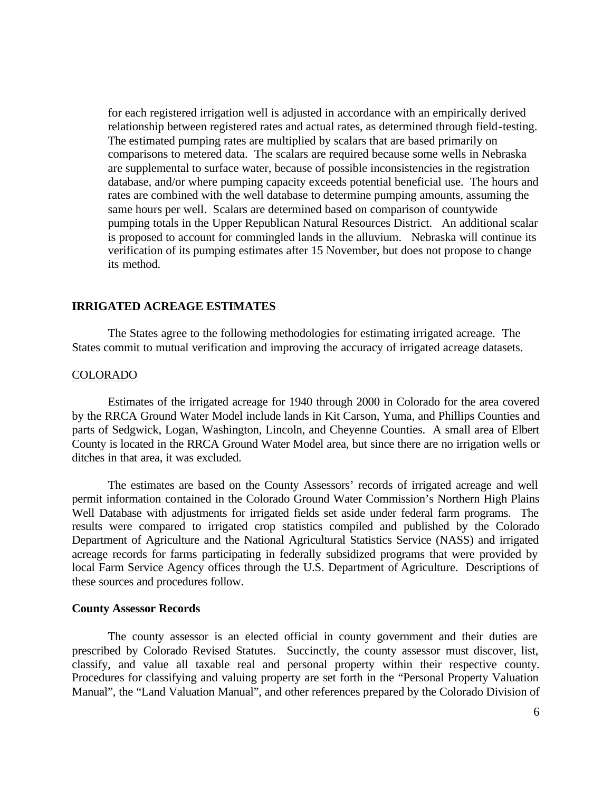for each registered irrigation well is adjusted in accordance with an empirically derived relationship between registered rates and actual rates, as determined through field-testing. The estimated pumping rates are multiplied by scalars that are based primarily on comparisons to metered data. The scalars are required because some wells in Nebraska are supplemental to surface water, because of possible inconsistencies in the registration database, and/or where pumping capacity exceeds potential beneficial use. The hours and rates are combined with the well database to determine pumping amounts, assuming the same hours per well. Scalars are determined based on comparison of countywide pumping totals in the Upper Republican Natural Resources District. An additional scalar is proposed to account for commingled lands in the alluvium. Nebraska will continue its verification of its pumping estimates after 15 November, but does not propose to change its method.

### **IRRIGATED ACREAGE ESTIMATES**

The States agree to the following methodologies for estimating irrigated acreage. The States commit to mutual verification and improving the accuracy of irrigated acreage datasets.

# COLORADO

Estimates of the irrigated acreage for 1940 through 2000 in Colorado for the area covered by the RRCA Ground Water Model include lands in Kit Carson, Yuma, and Phillips Counties and parts of Sedgwick, Logan, Washington, Lincoln, and Cheyenne Counties. A small area of Elbert County is located in the RRCA Ground Water Model area, but since there are no irrigation wells or ditches in that area, it was excluded.

The estimates are based on the County Assessors' records of irrigated acreage and well permit information contained in the Colorado Ground Water Commission's Northern High Plains Well Database with adjustments for irrigated fields set aside under federal farm programs. The results were compared to irrigated crop statistics compiled and published by the Colorado Department of Agriculture and the National Agricultural Statistics Service (NASS) and irrigated acreage records for farms participating in federally subsidized programs that were provided by local Farm Service Agency offices through the U.S. Department of Agriculture. Descriptions of these sources and procedures follow.

### **County Assessor Records**

The county assessor is an elected official in county government and their duties are prescribed by Colorado Revised Statutes. Succinctly, the county assessor must discover, list, classify, and value all taxable real and personal property within their respective county. Procedures for classifying and valuing property are set forth in the "Personal Property Valuation Manual", the "Land Valuation Manual", and other references prepared by the Colorado Division of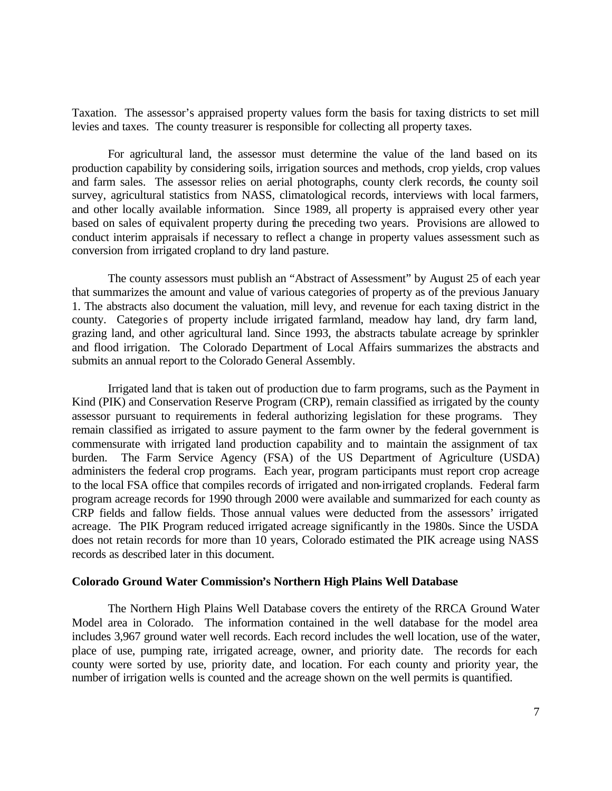Taxation. The assessor's appraised property values form the basis for taxing districts to set mill levies and taxes. The county treasurer is responsible for collecting all property taxes.

For agricultural land, the assessor must determine the value of the land based on its production capability by considering soils, irrigation sources and methods, crop yields, crop values and farm sales. The assessor relies on aerial photographs, county clerk records, the county soil survey, agricultural statistics from NASS, climatological records, interviews with local farmers, and other locally available information. Since 1989, all property is appraised every other year based on sales of equivalent property during the preceding two years. Provisions are allowed to conduct interim appraisals if necessary to reflect a change in property values assessment such as conversion from irrigated cropland to dry land pasture.

The county assessors must publish an "Abstract of Assessment" by August 25 of each year that summarizes the amount and value of various categories of property as of the previous January 1. The abstracts also document the valuation, mill levy, and revenue for each taxing district in the county. Categories of property include irrigated farmland, meadow hay land, dry farm land, grazing land, and other agricultural land. Since 1993, the abstracts tabulate acreage by sprinkler and flood irrigation. The Colorado Department of Local Affairs summarizes the abstracts and submits an annual report to the Colorado General Assembly.

Irrigated land that is taken out of production due to farm programs, such as the Payment in Kind (PIK) and Conservation Reserve Program (CRP), remain classified as irrigated by the county assessor pursuant to requirements in federal authorizing legislation for these programs. They remain classified as irrigated to assure payment to the farm owner by the federal government is commensurate with irrigated land production capability and to maintain the assignment of tax burden. The Farm Service Agency (FSA) of the US Department of Agriculture (USDA) administers the federal crop programs. Each year, program participants must report crop acreage to the local FSA office that compiles records of irrigated and non-irrigated croplands. Federal farm program acreage records for 1990 through 2000 were available and summarized for each county as CRP fields and fallow fields. Those annual values were deducted from the assessors' irrigated acreage. The PIK Program reduced irrigated acreage significantly in the 1980s. Since the USDA does not retain records for more than 10 years, Colorado estimated the PIK acreage using NASS records as described later in this document.

#### **Colorado Ground Water Commission's Northern High Plains Well Database**

The Northern High Plains Well Database covers the entirety of the RRCA Ground Water Model area in Colorado. The information contained in the well database for the model area includes 3,967 ground water well records. Each record includes the well location, use of the water, place of use, pumping rate, irrigated acreage, owner, and priority date. The records for each county were sorted by use, priority date, and location. For each county and priority year, the number of irrigation wells is counted and the acreage shown on the well permits is quantified.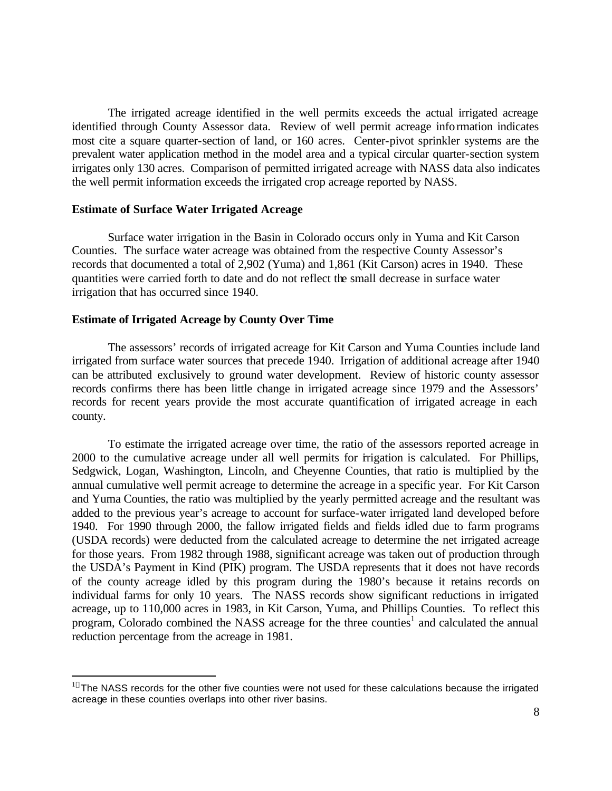The irrigated acreage identified in the well permits exceeds the actual irrigated acreage identified through County Assessor data. Review of well permit acreage information indicates most cite a square quarter-section of land, or 160 acres. Center-pivot sprinkler systems are the prevalent water application method in the model area and a typical circular quarter-section system irrigates only 130 acres. Comparison of permitted irrigated acreage with NASS data also indicates the well permit information exceeds the irrigated crop acreage reported by NASS.

### **Estimate of Surface Water Irrigated Acreage**

Surface water irrigation in the Basin in Colorado occurs only in Yuma and Kit Carson Counties. The surface water acreage was obtained from the respective County Assessor's records that documented a total of 2,902 (Yuma) and 1,861 (Kit Carson) acres in 1940. These quantities were carried forth to date and do not reflect the small decrease in surface water irrigation that has occurred since 1940.

# **Estimate of Irrigated Acreage by County Over Time**

 $\overline{a}$ 

The assessors' records of irrigated acreage for Kit Carson and Yuma Counties include land irrigated from surface water sources that precede 1940. Irrigation of additional acreage after 1940 can be attributed exclusively to ground water development. Review of historic county assessor records confirms there has been little change in irrigated acreage since 1979 and the Assessors' records for recent years provide the most accurate quantification of irrigated acreage in each county.

To estimate the irrigated acreage over time, the ratio of the assessors reported acreage in 2000 to the cumulative acreage under all well permits for rrigation is calculated. For Phillips, Sedgwick, Logan, Washington, Lincoln, and Cheyenne Counties, that ratio is multiplied by the annual cumulative well permit acreage to determine the acreage in a specific year. For Kit Carson and Yuma Counties, the ratio was multiplied by the yearly permitted acreage and the resultant was added to the previous year's acreage to account for surface-water irrigated land developed before 1940. For 1990 through 2000, the fallow irrigated fields and fields idled due to farm programs (USDA records) were deducted from the calculated acreage to determine the net irrigated acreage for those years. From 1982 through 1988, significant acreage was taken out of production through the USDA's Payment in Kind (PIK) program. The USDA represents that it does not have records of the county acreage idled by this program during the 1980's because it retains records on individual farms for only 10 years. The NASS records show significant reductions in irrigated acreage, up to 110,000 acres in 1983, in Kit Carson, Yuma, and Phillips Counties. To reflect this program, Colorado combined the NASS acreage for the three counties<sup>1</sup> and calculated the annual reduction percentage from the acreage in 1981.

<sup>&</sup>lt;sup>1]</sup> The NASS records for the other five counties were not used for these calculations because the irrigated acreage in these counties overlaps into other river basins.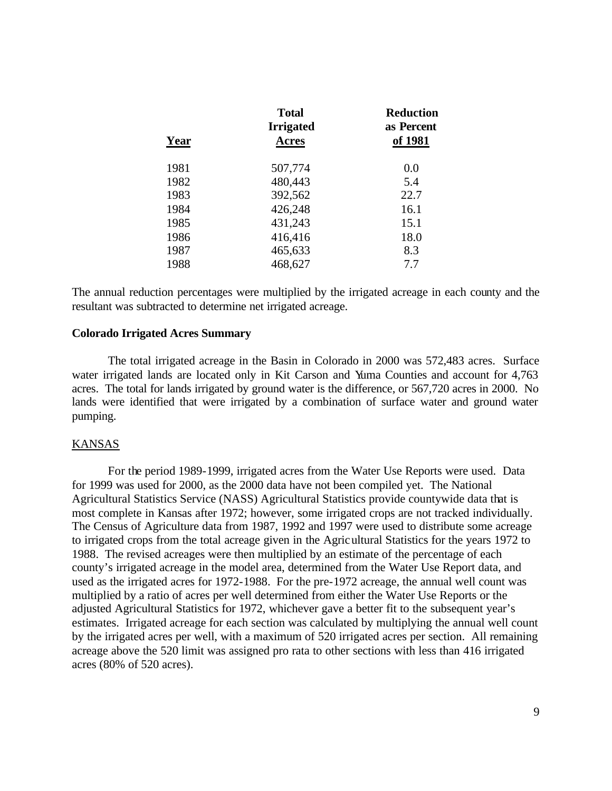| Year | <b>Total</b><br><b>Irrigated</b><br><b>Acres</b> | <b>Reduction</b><br>as Percent<br>of 1981 |
|------|--------------------------------------------------|-------------------------------------------|
|      |                                                  |                                           |
| 1982 | 480,443                                          | 5.4                                       |
| 1983 | 392,562                                          | 22.7                                      |
| 1984 | 426,248                                          | 16.1                                      |
| 1985 | 431,243                                          | 15.1                                      |
| 1986 | 416,416                                          | 18.0                                      |
| 1987 | 465,633                                          | 8.3                                       |
| 1988 | 468,627                                          | 7.7                                       |

The annual reduction percentages were multiplied by the irrigated acreage in each county and the resultant was subtracted to determine net irrigated acreage.

# **Colorado Irrigated Acres Summary**

The total irrigated acreage in the Basin in Colorado in 2000 was 572,483 acres. Surface water irrigated lands are located only in Kit Carson and Yuma Counties and account for 4,763 acres. The total for lands irrigated by ground water is the difference, or 567,720 acres in 2000. No lands were identified that were irrigated by a combination of surface water and ground water pumping.

# KANSAS

For the period 1989-1999, irrigated acres from the Water Use Reports were used. Data for 1999 was used for 2000, as the 2000 data have not been compiled yet. The National Agricultural Statistics Service (NASS) Agricultural Statistics provide countywide data that is most complete in Kansas after 1972; however, some irrigated crops are not tracked individually. The Census of Agriculture data from 1987, 1992 and 1997 were used to distribute some acreage to irrigated crops from the total acreage given in the Agricultural Statistics for the years 1972 to 1988. The revised acreages were then multiplied by an estimate of the percentage of each county's irrigated acreage in the model area, determined from the Water Use Report data, and used as the irrigated acres for 1972-1988. For the pre-1972 acreage, the annual well count was multiplied by a ratio of acres per well determined from either the Water Use Reports or the adjusted Agricultural Statistics for 1972, whichever gave a better fit to the subsequent year's estimates. Irrigated acreage for each section was calculated by multiplying the annual well count by the irrigated acres per well, with a maximum of 520 irrigated acres per section. All remaining acreage above the 520 limit was assigned pro rata to other sections with less than 416 irrigated acres (80% of 520 acres).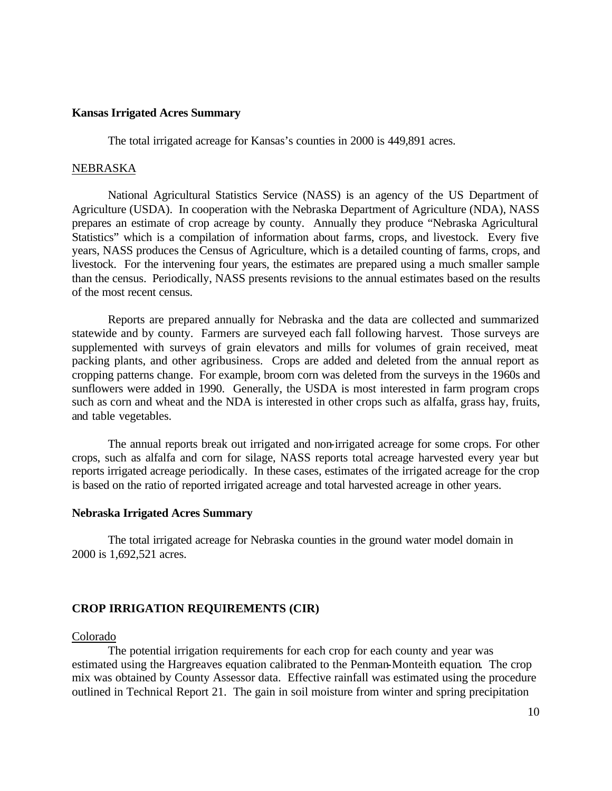#### **Kansas Irrigated Acres Summary**

The total irrigated acreage for Kansas's counties in 2000 is 449,891 acres.

#### NEBRASKA

National Agricultural Statistics Service (NASS) is an agency of the US Department of Agriculture (USDA). In cooperation with the Nebraska Department of Agriculture (NDA), NASS prepares an estimate of crop acreage by county. Annually they produce "Nebraska Agricultural Statistics" which is a compilation of information about farms, crops, and livestock. Every five years, NASS produces the Census of Agriculture, which is a detailed counting of farms, crops, and livestock. For the intervening four years, the estimates are prepared using a much smaller sample than the census. Periodically, NASS presents revisions to the annual estimates based on the results of the most recent census.

Reports are prepared annually for Nebraska and the data are collected and summarized statewide and by county. Farmers are surveyed each fall following harvest. Those surveys are supplemented with surveys of grain elevators and mills for volumes of grain received, meat packing plants, and other agribusiness. Crops are added and deleted from the annual report as cropping patterns change. For example, broom corn was deleted from the surveys in the 1960s and sunflowers were added in 1990. Generally, the USDA is most interested in farm program crops such as corn and wheat and the NDA is interested in other crops such as alfalfa, grass hay, fruits, and table vegetables.

The annual reports break out irrigated and non-irrigated acreage for some crops. For other crops, such as alfalfa and corn for silage, NASS reports total acreage harvested every year but reports irrigated acreage periodically. In these cases, estimates of the irrigated acreage for the crop is based on the ratio of reported irrigated acreage and total harvested acreage in other years.

#### **Nebraska Irrigated Acres Summary**

The total irrigated acreage for Nebraska counties in the ground water model domain in 2000 is 1,692,521 acres.

# **CROP IRRIGATION REQUIREMENTS (CIR)**

### Colorado

The potential irrigation requirements for each crop for each county and year was estimated using the Hargreaves equation calibrated to the Penman-Monteith equation. The crop mix was obtained by County Assessor data. Effective rainfall was estimated using the procedure outlined in Technical Report 21. The gain in soil moisture from winter and spring precipitation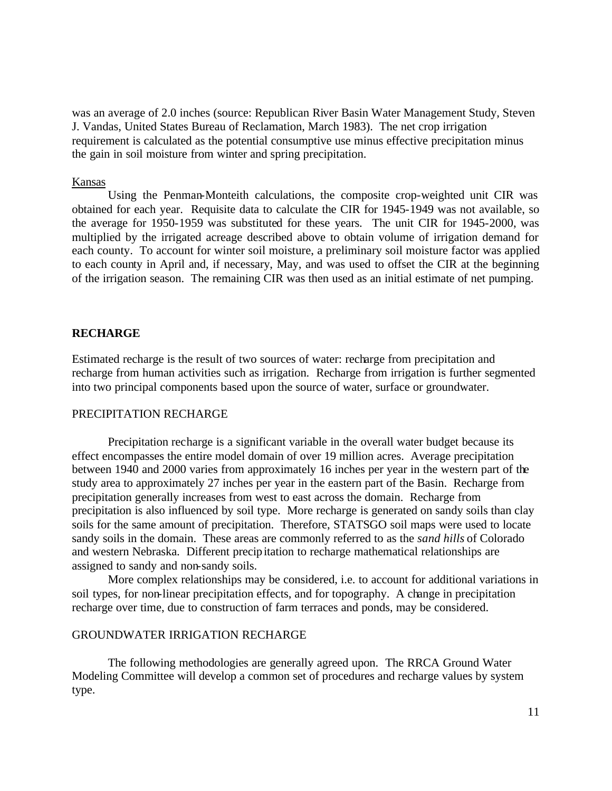was an average of 2.0 inches (source: Republican River Basin Water Management Study, Steven J. Vandas, United States Bureau of Reclamation, March 1983). The net crop irrigation requirement is calculated as the potential consumptive use minus effective precipitation minus the gain in soil moisture from winter and spring precipitation.

# Kansas

Using the Penman-Monteith calculations, the composite crop-weighted unit CIR was obtained for each year. Requisite data to calculate the CIR for 1945-1949 was not available, so the average for 1950-1959 was substituted for these years. The unit CIR for 1945-2000, was multiplied by the irrigated acreage described above to obtain volume of irrigation demand for each county. To account for winter soil moisture, a preliminary soil moisture factor was applied to each county in April and, if necessary, May, and was used to offset the CIR at the beginning of the irrigation season. The remaining CIR was then used as an initial estimate of net pumping.

### **RECHARGE**

Estimated recharge is the result of two sources of water: recharge from precipitation and recharge from human activities such as irrigation. Recharge from irrigation is further segmented into two principal components based upon the source of water, surface or groundwater.

# PRECIPITATION RECHARGE

Precipitation recharge is a significant variable in the overall water budget because its effect encompasses the entire model domain of over 19 million acres. Average precipitation between 1940 and 2000 varies from approximately 16 inches per year in the western part of the study area to approximately 27 inches per year in the eastern part of the Basin. Recharge from precipitation generally increases from west to east across the domain. Recharge from precipitation is also influenced by soil type. More recharge is generated on sandy soils than clay soils for the same amount of precipitation. Therefore, STATSGO soil maps were used to locate sandy soils in the domain. These areas are commonly referred to as the *sand hills* of Colorado and western Nebraska. Different precipitation to recharge mathematical relationships are assigned to sandy and non-sandy soils.

More complex relationships may be considered, i.e. to account for additional variations in soil types, for non-linear precipitation effects, and for topography. A change in precipitation recharge over time, due to construction of farm terraces and ponds, may be considered.

### GROUNDWATER IRRIGATION RECHARGE

The following methodologies are generally agreed upon. The RRCA Ground Water Modeling Committee will develop a common set of procedures and recharge values by system type.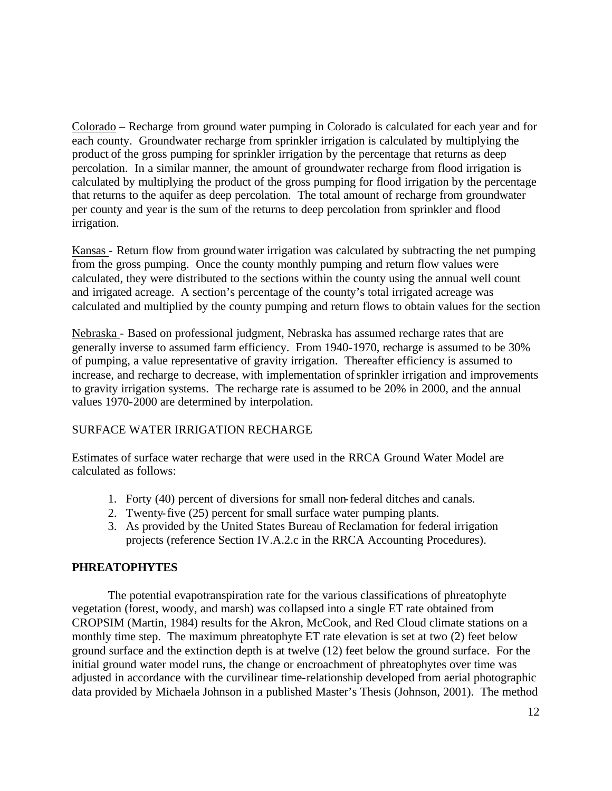Colorado – Recharge from ground water pumping in Colorado is calculated for each year and for each county. Groundwater recharge from sprinkler irrigation is calculated by multiplying the product of the gross pumping for sprinkler irrigation by the percentage that returns as deep percolation. In a similar manner, the amount of groundwater recharge from flood irrigation is calculated by multiplying the product of the gross pumping for flood irrigation by the percentage that returns to the aquifer as deep percolation. The total amount of recharge from groundwater per county and year is the sum of the returns to deep percolation from sprinkler and flood irrigation.

Kansas - Return flow from groundwater irrigation was calculated by subtracting the net pumping from the gross pumping. Once the county monthly pumping and return flow values were calculated, they were distributed to the sections within the county using the annual well count and irrigated acreage. A section's percentage of the county's total irrigated acreage was calculated and multiplied by the county pumping and return flows to obtain values for the section

Nebraska - Based on professional judgment, Nebraska has assumed recharge rates that are generally inverse to assumed farm efficiency. From 1940-1970, recharge is assumed to be 30% of pumping, a value representative of gravity irrigation. Thereafter efficiency is assumed to increase, and recharge to decrease, with implementation of sprinkler irrigation and improvements to gravity irrigation systems. The recharge rate is assumed to be 20% in 2000, and the annual values 1970-2000 are determined by interpolation.

# SURFACE WATER IRRIGATION RECHARGE

Estimates of surface water recharge that were used in the RRCA Ground Water Model are calculated as follows:

- 1. Forty (40) percent of diversions for small non-federal ditches and canals.
- 2. Twenty-five (25) percent for small surface water pumping plants.
- 3. As provided by the United States Bureau of Reclamation for federal irrigation projects (reference Section IV.A.2.c in the RRCA Accounting Procedures).

# **PHREATOPHYTES**

The potential evapotranspiration rate for the various classifications of phreatophyte vegetation (forest, woody, and marsh) was collapsed into a single ET rate obtained from CROPSIM (Martin, 1984) results for the Akron, McCook, and Red Cloud climate stations on a monthly time step. The maximum phreatophyte ET rate elevation is set at two (2) feet below ground surface and the extinction depth is at twelve (12) feet below the ground surface. For the initial ground water model runs, the change or encroachment of phreatophytes over time was adjusted in accordance with the curvilinear time-relationship developed from aerial photographic data provided by Michaela Johnson in a published Master's Thesis (Johnson, 2001). The method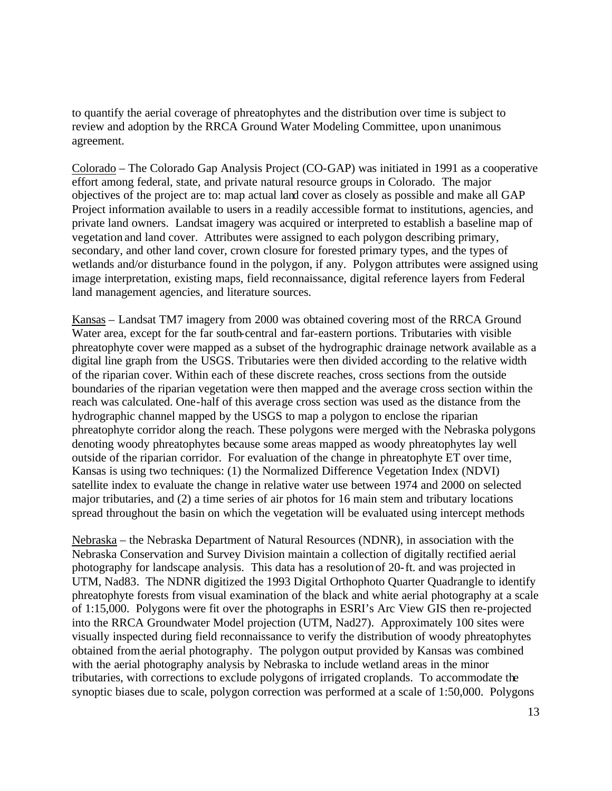to quantify the aerial coverage of phreatophytes and the distribution over time is subject to review and adoption by the RRCA Ground Water Modeling Committee, upon unanimous agreement.

Colorado – The Colorado Gap Analysis Project (CO-GAP) was initiated in 1991 as a cooperative effort among federal, state, and private natural resource groups in Colorado. The major objectives of the project are to: map actual land cover as closely as possible and make all GAP Project information available to users in a readily accessible format to institutions, agencies, and private land owners. Landsat imagery was acquired or interpreted to establish a baseline map of vegetation and land cover. Attributes were assigned to each polygon describing primary, secondary, and other land cover, crown closure for forested primary types, and the types of wetlands and/or disturbance found in the polygon, if any. Polygon attributes were assigned using image interpretation, existing maps, field reconnaissance, digital reference layers from Federal land management agencies, and literature sources.

Kansas – Landsat TM7 imagery from 2000 was obtained covering most of the RRCA Ground Water area, except for the far south-central and far-eastern portions. Tributaries with visible phreatophyte cover were mapped as a subset of the hydrographic drainage network available as a digital line graph from the USGS. Tributaries were then divided according to the relative width of the riparian cover. Within each of these discrete reaches, cross sections from the outside boundaries of the riparian vegetation were then mapped and the average cross section within the reach was calculated. One-half of this average cross section was used as the distance from the hydrographic channel mapped by the USGS to map a polygon to enclose the riparian phreatophyte corridor along the reach. These polygons were merged with the Nebraska polygons denoting woody phreatophytes because some areas mapped as woody phreatophytes lay well outside of the riparian corridor. For evaluation of the change in phreatophyte ET over time, Kansas is using two techniques: (1) the Normalized Difference Vegetation Index (NDVI) satellite index to evaluate the change in relative water use between 1974 and 2000 on selected major tributaries, and (2) a time series of air photos for 16 main stem and tributary locations spread throughout the basin on which the vegetation will be evaluated using intercept methods

Nebraska – the Nebraska Department of Natural Resources (NDNR), in association with the Nebraska Conservation and Survey Division maintain a collection of digitally rectified aerial photography for landscape analysis. This data has a resolution of 20-ft. and was projected in UTM, Nad83. The NDNR digitized the 1993 Digital Orthophoto Quarter Quadrangle to identify phreatophyte forests from visual examination of the black and white aerial photography at a scale of 1:15,000. Polygons were fit over the photographs in ESRI's Arc View GIS then re-projected into the RRCA Groundwater Model projection (UTM, Nad27). Approximately 100 sites were visually inspected during field reconnaissance to verify the distribution of woody phreatophytes obtained from the aerial photography. The polygon output provided by Kansas was combined with the aerial photography analysis by Nebraska to include wetland areas in the minor tributaries, with corrections to exclude polygons of irrigated croplands. To accommodate the synoptic biases due to scale, polygon correction was performed at a scale of 1:50,000. Polygons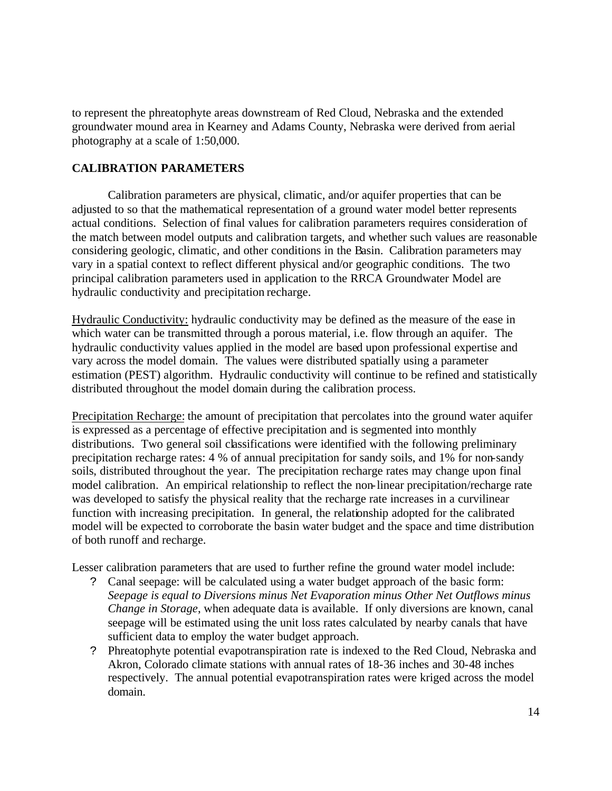to represent the phreatophyte areas downstream of Red Cloud, Nebraska and the extended groundwater mound area in Kearney and Adams County, Nebraska were derived from aerial photography at a scale of 1:50,000.

# **CALIBRATION PARAMETERS**

Calibration parameters are physical, climatic, and/or aquifer properties that can be adjusted to so that the mathematical representation of a ground water model better represents actual conditions. Selection of final values for calibration parameters requires consideration of the match between model outputs and calibration targets, and whether such values are reasonable considering geologic, climatic, and other conditions in the Basin. Calibration parameters may vary in a spatial context to reflect different physical and/or geographic conditions. The two principal calibration parameters used in application to the RRCA Groundwater Model are hydraulic conductivity and precipitation recharge.

Hydraulic Conductivity: hydraulic conductivity may be defined as the measure of the ease in which water can be transmitted through a porous material, i.e. flow through an aquifer. The hydraulic conductivity values applied in the model are based upon professional expertise and vary across the model domain. The values were distributed spatially using a parameter estimation (PEST) algorithm. Hydraulic conductivity will continue to be refined and statistically distributed throughout the model domain during the calibration process.

Precipitation Recharge: the amount of precipitation that percolates into the ground water aquifer is expressed as a percentage of effective precipitation and is segmented into monthly distributions. Two general soil classifications were identified with the following preliminary precipitation recharge rates: 4 % of annual precipitation for sandy soils, and 1% for non-sandy soils, distributed throughout the year. The precipitation recharge rates may change upon final model calibration. An empirical relationship to reflect the non-linear precipitation/recharge rate was developed to satisfy the physical reality that the recharge rate increases in a curvilinear function with increasing precipitation. In general, the relationship adopted for the calibrated model will be expected to corroborate the basin water budget and the space and time distribution of both runoff and recharge.

Lesser calibration parameters that are used to further refine the ground water model include:

- ? Canal seepage: will be calculated using a water budget approach of the basic form: *Seepage is equal to Diversions minus Net Evaporation minus Other Net Outflows minus Change in Storage*, when adequate data is available. If only diversions are known, canal seepage will be estimated using the unit loss rates calculated by nearby canals that have sufficient data to employ the water budget approach.
- ? Phreatophyte potential evapotranspiration rate is indexed to the Red Cloud, Nebraska and Akron, Colorado climate stations with annual rates of 18-36 inches and 30-48 inches respectively. The annual potential evapotranspiration rates were kriged across the model domain.